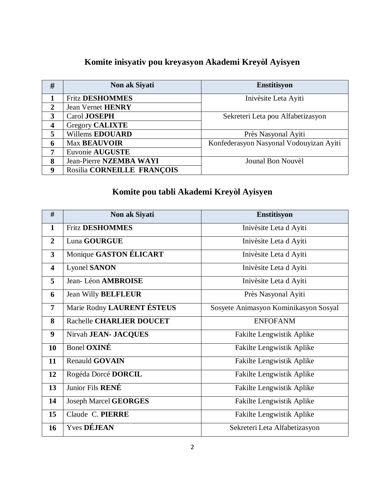## **Komite inisyativ pou kreyasyon Akademi Kreyòl Ayisyen**

| #                       | Non ak Siyati              | <b>Enstitisyon</b>                      |
|-------------------------|----------------------------|-----------------------------------------|
|                         | <b>Fritz DESHOMMES</b>     | Inivèsite Leta Ayiti                    |
| $\mathbf{2}$            | <b>Jean Vernet HENRY</b>   |                                         |
| 3                       | Carol JOSEPH               | Sekreteri Leta pou Alfabetizasyon       |
| $\overline{\mathbf{4}}$ | <b>Gregory CALIXTE</b>     |                                         |
| 5                       | Willems EDOUARD            | Près Nasyonal Ayiti                     |
| 6                       | <b>Max BEAUVOIR</b>        | Konfederasyon Nasyonal Vodouyizan Ayiti |
| 7                       | Euvonie AUGUSTE            |                                         |
| 8                       | Jean-Pierre NZEMBA WAYI    | Jounal Bon Nouvèl                       |
| 9                       | Rosilia CORNEILLE FRANÇOIS |                                         |

# **Komite pou tabli Akademi Kreyòl Ayisyen**

| #                       | Non ak Siyati              | Enstitisyon                           |
|-------------------------|----------------------------|---------------------------------------|
| $\mathbf{1}$            | <b>Fritz DESHOMMES</b>     | Inivèsite Leta d Ayiti                |
| $\overline{2}$          | Luna GOURGUE               | Inivèsite Leta d'Ayiti                |
| $\overline{\mathbf{3}}$ | Monique GASTON ÉLICART     | Inivèsite Leta d Ayiti                |
| 4                       | <b>Lyonel SANON</b>        | Inivèsite Leta d'Ayiti                |
| 5                       | Jean-Léon AMBROISE         | Inivèsite Leta d'Ayiti                |
| 6                       | <b>Jean Willy BELFLEUR</b> | Près Nasyonal Ayiti                   |
| $\overline{7}$          | Marie Rodny LAURENT ÉSTEUS | Sosyete Animasyon Kominikasyon Sosyal |
| 8                       | Rachelle CHARLIER DOUCET   | <b>ENFOFANM</b>                       |
| 9                       | Nirvah JEAN- JACQUES       | Fakilte Lengwistik Aplike             |
| 10                      | Bonel OXINÉ                | Fakilte Lengwistik Aplike             |
| 11                      | <b>Renauld GOVAIN</b>      | Fakilte Lengwistik Aplike             |
| 12                      | Rogéda Dorcé DORCIL        | Fakilte Lengwistik Aplike             |
| 13                      | Junior Fils RENÉ           | Fakilte Lengwistik Aplike             |
| 14                      | Joseph Marcel GEORGES      | Fakilte Lengwistik Aplike             |
| 15                      | Claude C. PIERRE           | Fakilte Lengwistik Aplike             |
| 16                      | Yves DÉJEAN                | Sekreteri Leta Alfabetizasyon         |